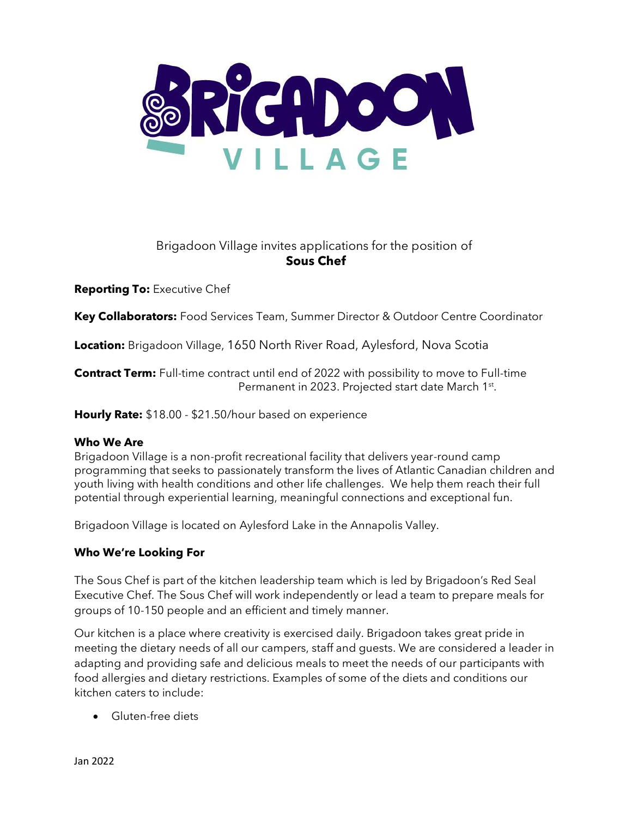

# Brigadoon Village invites applications for the position of **Sous Chef**

**Reporting To:** Executive Chef

**Key Collaborators:** Food Services Team, Summer Director & Outdoor Centre Coordinator

**Location:** Brigadoon Village, 1650 North River Road, Aylesford, Nova Scotia

**Contract Term:** Full-time contract until end of 2022 with possibility to move to Full-time Permanent in 2023. Projected start date March 1<sup>st</sup>.

**Hourly Rate:** \$18.00 - \$21.50/hour based on experience

# **Who We Are**

Brigadoon Village is a non-profit recreational facility that delivers year-round camp programming that seeks to passionately transform the lives of Atlantic Canadian children and youth living with health conditions and other life challenges. We help them reach their full potential through experiential learning, meaningful connections and exceptional fun.

Brigadoon Village is located on Aylesford Lake in the Annapolis Valley.

# **Who We're Looking For**

The Sous Chef is part of the kitchen leadership team which is led by Brigadoon's Red Seal Executive Chef. The Sous Chef will work independently or lead a team to prepare meals for groups of 10-150 people and an efficient and timely manner.

Our kitchen is a place where creativity is exercised daily. Brigadoon takes great pride in meeting the dietary needs of all our campers, staff and guests. We are considered a leader in adapting and providing safe and delicious meals to meet the needs of our participants with food allergies and dietary restrictions. Examples of some of the diets and conditions our kitchen caters to include:

• Gluten-free diets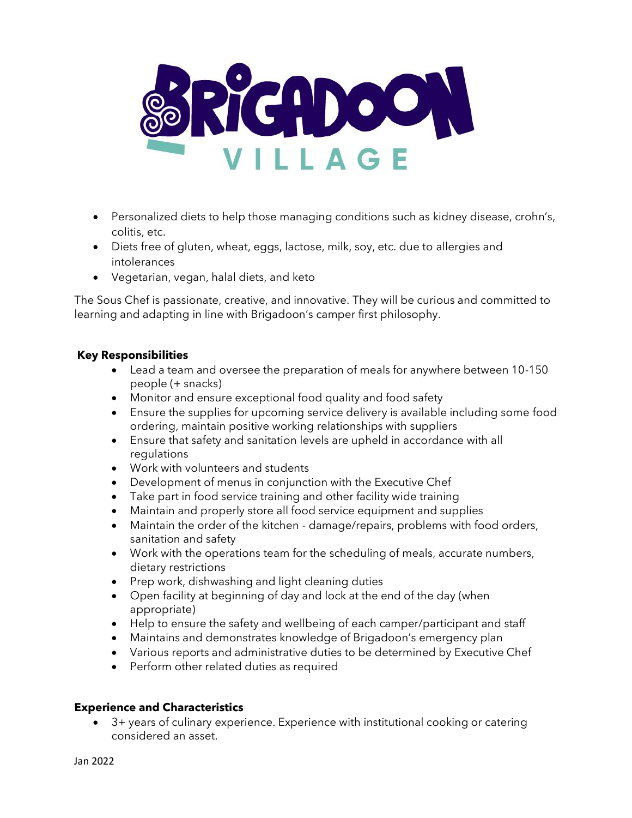

- Personalized diets to help those managing conditions such as kidney disease, crohn's, colitis, etc.
- Diets free of gluten, wheat, eggs, lactose, milk, soy, etc. due to allergies and intolerances
- Vegetarian, vegan, halal diets, and keto

The Sous Chef is passionate, creative, and innovative. They will be curious and committed to learning and adapting in line with Brigadoon's camper first philosophy.

#### **Key Responsibilities**

- Lead a team and oversee the preparation of meals for anywhere between 10-150 people (+ snacks)
- Monitor and ensure exceptional food quality and food safety
- Ensure the supplies for upcoming service delivery is available including some food ordering, maintain positive working relationships with suppliers
- Ensure that safety and sanitation levels are upheld in accordance with all regulations
- Work with volunteers and students
- Development of menus in conjunction with the Executive Chef
- Take part in food service training and other facility wide training
- Maintain and properly store all food service equipment and supplies
- Maintain the order of the kitchen damage/repairs, problems with food orders, sanitation and safety
- Work with the operations team for the scheduling of meals, accurate numbers, dietary restrictions
- Prep work, dishwashing and light cleaning duties
- Open facility at beginning of day and lock at the end of the day (when appropriate)
- Help to ensure the safety and wellbeing of each camper/participant and staff
- Maintains and demonstrates knowledge of Brigadoon's emergency plan
- Various reports and administrative duties to be determined by Executive Chef
- Perform other related duties as required

# **Experience and Characteristics**

• 3+ years of culinary experience. Experience with institutional cooking or catering considered an asset.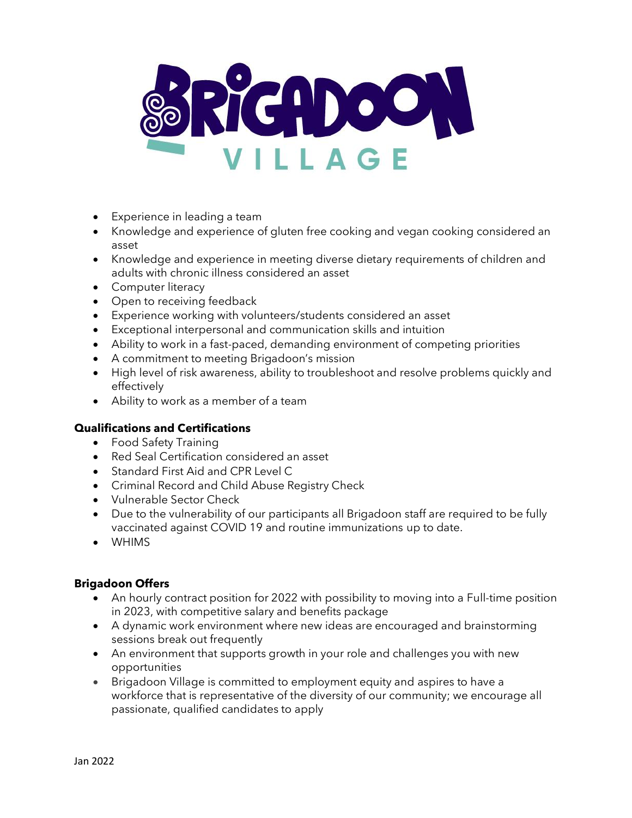

- Experience in leading a team
- Knowledge and experience of gluten free cooking and vegan cooking considered an asset
- Knowledge and experience in meeting diverse dietary requirements of children and adults with chronic illness considered an asset
- Computer literacy
- Open to receiving feedback
- Experience working with volunteers/students considered an asset
- Exceptional interpersonal and communication skills and intuition
- Ability to work in a fast-paced, demanding environment of competing priorities
- A commitment to meeting Brigadoon's mission
- High level of risk awareness, ability to troubleshoot and resolve problems quickly and effectively
- Ability to work as a member of a team

#### **Qualifications and Certifications**

- Food Safety Training
- Red Seal Certification considered an asset
- Standard First Aid and CPR Level C
- Criminal Record and Child Abuse Registry Check
- Vulnerable Sector Check
- Due to the vulnerability of our participants all Brigadoon staff are required to be fully vaccinated against COVID 19 and routine immunizations up to date.
- WHIMS

# **Brigadoon Offers**

- An hourly contract position for 2022 with possibility to moving into a Full-time position in 2023, with competitive salary and benefits package
- A dynamic work environment where new ideas are encouraged and brainstorming sessions break out frequently
- An environment that supports growth in your role and challenges you with new opportunities
- Brigadoon Village is committed to employment equity and aspires to have a workforce that is representative of the diversity of our community; we encourage all passionate, qualified candidates to apply